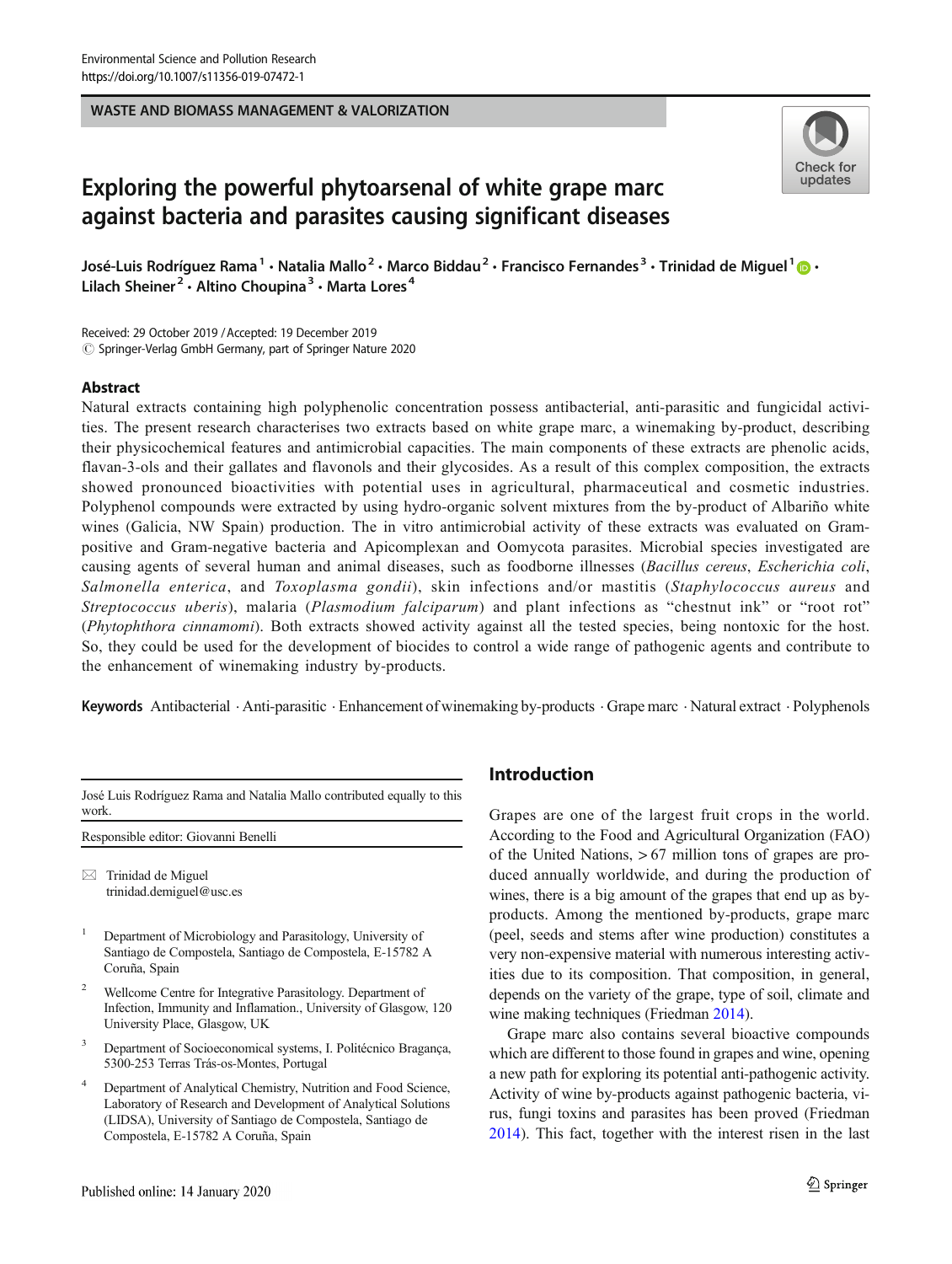### WASTE AND BIOMASS MANAGEMENT & VALORIZATION



# Exploring the powerful phytoarsenal of white grape marc against bacteria and parasites causing significant diseases

José-Luis Rodríguez Rama<sup>1</sup> • Natalia Mallo<sup>2</sup> • Marco Biddau<sup>2</sup> • Francisco Fernandes<sup>3</sup> • Trinidad de Miguel<sup>1</sup>  $\cdot$ Lilach Sheiner<sup>2</sup> · Altino Choupina<sup>3</sup> · Marta Lores<sup>4</sup>

Received: 29 October 2019 /Accepted: 19 December 2019  $\odot$  Springer-Verlag GmbH Germany, part of Springer Nature 2020

### Abstract

Natural extracts containing high polyphenolic concentration possess antibacterial, anti-parasitic and fungicidal activities. The present research characterises two extracts based on white grape marc, a winemaking by-product, describing their physicochemical features and antimicrobial capacities. The main components of these extracts are phenolic acids, flavan-3-ols and their gallates and flavonols and their glycosides. As a result of this complex composition, the extracts showed pronounced bioactivities with potential uses in agricultural, pharmaceutical and cosmetic industries. Polyphenol compounds were extracted by using hydro-organic solvent mixtures from the by-product of Albariño white wines (Galicia, NW Spain) production. The in vitro antimicrobial activity of these extracts was evaluated on Grampositive and Gram-negative bacteria and Apicomplexan and Oomycota parasites. Microbial species investigated are causing agents of several human and animal diseases, such as foodborne illnesses (Bacillus cereus, Escherichia coli, Salmonella enterica, and Toxoplasma gondii), skin infections and/or mastitis (Staphylococcus aureus and Streptococcus uberis), malaria (Plasmodium falciparum) and plant infections as "chestnut ink" or "root rot" (Phytophthora cinnamomi). Both extracts showed activity against all the tested species, being nontoxic for the host. So, they could be used for the development of biocides to control a wide range of pathogenic agents and contribute to the enhancement of winemaking industry by-products.

Keywords Antibacterial Anti-parasitic · Enhancement of winemaking by-products · Grape marc · Natural extract · Polyphenols

| José Luis Rodríguez Rama and Natalia Mallo contributed equally to this |  |
|------------------------------------------------------------------------|--|
| work.                                                                  |  |

Responsible editor: Giovanni Benelli

 $\boxtimes$  Trinidad de Miguel [trinidad.demiguel@usc.es](mailto:trinidad.demiguel@usc.es)

- <sup>1</sup> Department of Microbiology and Parasitology, University of Santiago de Compostela, Santiago de Compostela, E-15782 A Coruña, Spain
- <sup>2</sup> Wellcome Centre for Integrative Parasitology. Department of Infection, Immunity and Inflamation., University of Glasgow, 120 University Place, Glasgow, UK
- <sup>3</sup> Department of Socioeconomical systems, I. Politécnico Bragança, 5300-253 Terras Trás-os-Montes, Portugal
- Department of Analytical Chemistry, Nutrition and Food Science, Laboratory of Research and Development of Analytical Solutions (LIDSA), University of Santiago de Compostela, Santiago de Compostela, E-15782 A Coruña, Spain

# Introduction

Grapes are one of the largest fruit crops in the world. According to the Food and Agricultural Organization (FAO) of the United Nations, > 67 million tons of grapes are produced annually worldwide, and during the production of wines, there is a big amount of the grapes that end up as byproducts. Among the mentioned by-products, grape marc (peel, seeds and stems after wine production) constitutes a very non-expensive material with numerous interesting activities due to its composition. That composition, in general, depends on the variety of the grape, type of soil, climate and wine making techniques (Friedman [2014\)](#page-7-0).

Grape marc also contains several bioactive compounds which are different to those found in grapes and wine, opening a new path for exploring its potential anti-pathogenic activity. Activity of wine by-products against pathogenic bacteria, virus, fungi toxins and parasites has been proved (Friedman [2014\)](#page-7-0). This fact, together with the interest risen in the last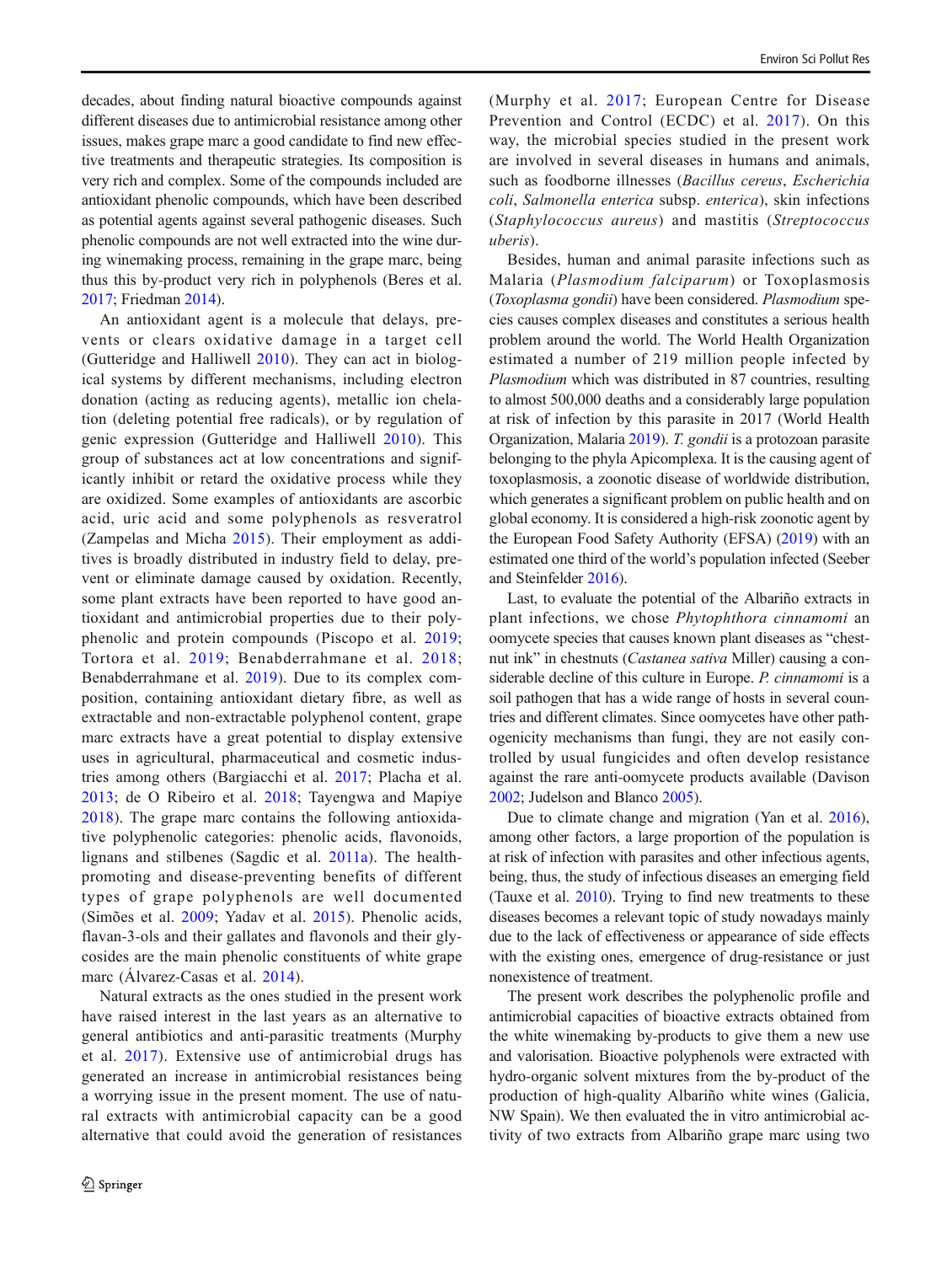decades, about finding natural bioactive compounds against different diseases due to antimicrobial resistance among other issues, makes grape marc a good candidate to find new effective treatments and therapeutic strategies. Its composition is very rich and complex. Some of the compounds included are antioxidant phenolic compounds, which have been described as potential agents against several pathogenic diseases. Such phenolic compounds are not well extracted into the wine during winemaking process, remaining in the grape marc, being thus this by-product very rich in polyphenols (Beres et al. [2017;](#page-6-0) Friedman [2014](#page-7-0)).

An antioxidant agent is a molecule that delays, prevents or clears oxidative damage in a target cell (Gutteridge and Halliwell [2010](#page-7-0)). They can act in biological systems by different mechanisms, including electron donation (acting as reducing agents), metallic ion chelation (deleting potential free radicals), or by regulation of genic expression (Gutteridge and Halliwell [2010\)](#page-7-0). This group of substances act at low concentrations and significantly inhibit or retard the oxidative process while they are oxidized. Some examples of antioxidants are ascorbic acid, uric acid and some polyphenols as resveratrol (Zampelas and Micha [2015](#page-8-0)). Their employment as additives is broadly distributed in industry field to delay, prevent or eliminate damage caused by oxidation. Recently, some plant extracts have been reported to have good antioxidant and antimicrobial properties due to their polyphenolic and protein compounds (Piscopo et al. [2019](#page-8-0); Tortora et al. [2019;](#page-8-0) Benabderrahmane et al. [2018](#page-6-0); Benabderrahmane et al. [2019\)](#page-6-0). Due to its complex composition, containing antioxidant dietary fibre, as well as extractable and non-extractable polyphenol content, grape marc extracts have a great potential to display extensive uses in agricultural, pharmaceutical and cosmetic industries among others (Bargiacchi et al. [2017;](#page-6-0) Placha et al. [2013](#page-8-0); de O Ribeiro et al. [2018;](#page-7-0) Tayengwa and Mapiye [2018](#page-8-0)). The grape marc contains the following antioxidative polyphenolic categories: phenolic acids, flavonoids, lignans and stilbenes (Sagdic et al. [2011a](#page-8-0)). The healthpromoting and disease-preventing benefits of different types of grape polyphenols are well documented (Simões et al. [2009;](#page-8-0) Yadav et al. [2015](#page-8-0)). Phenolic acids, flavan-3-ols and their gallates and flavonols and their glycosides are the main phenolic constituents of white grape marc (Álvarez-Casas et al. [2014\)](#page-6-0).

Natural extracts as the ones studied in the present work have raised interest in the last years as an alternative to general antibiotics and anti-parasitic treatments (Murphy et al. [2017\)](#page-8-0). Extensive use of antimicrobial drugs has generated an increase in antimicrobial resistances being a worrying issue in the present moment. The use of natural extracts with antimicrobial capacity can be a good alternative that could avoid the generation of resistances (Murphy et al. [2017;](#page-8-0) European Centre for Disease Prevention and Control (ECDC) et al. [2017\)](#page-7-0). On this way, the microbial species studied in the present work are involved in several diseases in humans and animals, such as foodborne illnesses (Bacillus cereus, Escherichia coli, Salmonella enterica subsp. enterica), skin infections (Staphylococcus aureus) and mastitis (Streptococcus uberis).

Besides, human and animal parasite infections such as Malaria (Plasmodium falciparum) or Toxoplasmosis (Toxoplasma gondii) have been considered. Plasmodium species causes complex diseases and constitutes a serious health problem around the world. The World Health Organization estimated a number of 219 million people infected by Plasmodium which was distributed in 87 countries, resulting to almost 500,000 deaths and a considerably large population at risk of infection by this parasite in 2017 (World Health Organization, Malaria [2019](#page-8-0)). T. gondii is a protozoan parasite belonging to the phyla Apicomplexa. It is the causing agent of toxoplasmosis, a zoonotic disease of worldwide distribution, which generates a significant problem on public health and on global economy. It is considered a high-risk zoonotic agent by the European Food Safety Authority (EFSA) [\(2019\)](#page-7-0) with an estimated one third of the world's population infected (Seeber and Steinfelder [2016](#page-8-0)).

Last, to evaluate the potential of the Albariño extracts in plant infections, we chose Phytophthora cinnamomi an oomycete species that causes known plant diseases as "chestnut ink" in chestnuts (Castanea sativa Miller) causing a considerable decline of this culture in Europe. P. cinnamomi is a soil pathogen that has a wide range of hosts in several countries and different climates. Since oomycetes have other pathogenicity mechanisms than fungi, they are not easily controlled by usual fungicides and often develop resistance against the rare anti-oomycete products available (Davison [2002;](#page-7-0) Judelson and Blanco [2005](#page-7-0)).

Due to climate change and migration (Yan et al. [2016\)](#page-8-0), among other factors, a large proportion of the population is at risk of infection with parasites and other infectious agents, being, thus, the study of infectious diseases an emerging field (Tauxe et al. [2010\)](#page-8-0). Trying to find new treatments to these diseases becomes a relevant topic of study nowadays mainly due to the lack of effectiveness or appearance of side effects with the existing ones, emergence of drug-resistance or just nonexistence of treatment.

The present work describes the polyphenolic profile and antimicrobial capacities of bioactive extracts obtained from the white winemaking by-products to give them a new use and valorisation. Bioactive polyphenols were extracted with hydro-organic solvent mixtures from the by-product of the production of high-quality Albariño white wines (Galicia, NW Spain). We then evaluated the in vitro antimicrobial activity of two extracts from Albariño grape marc using two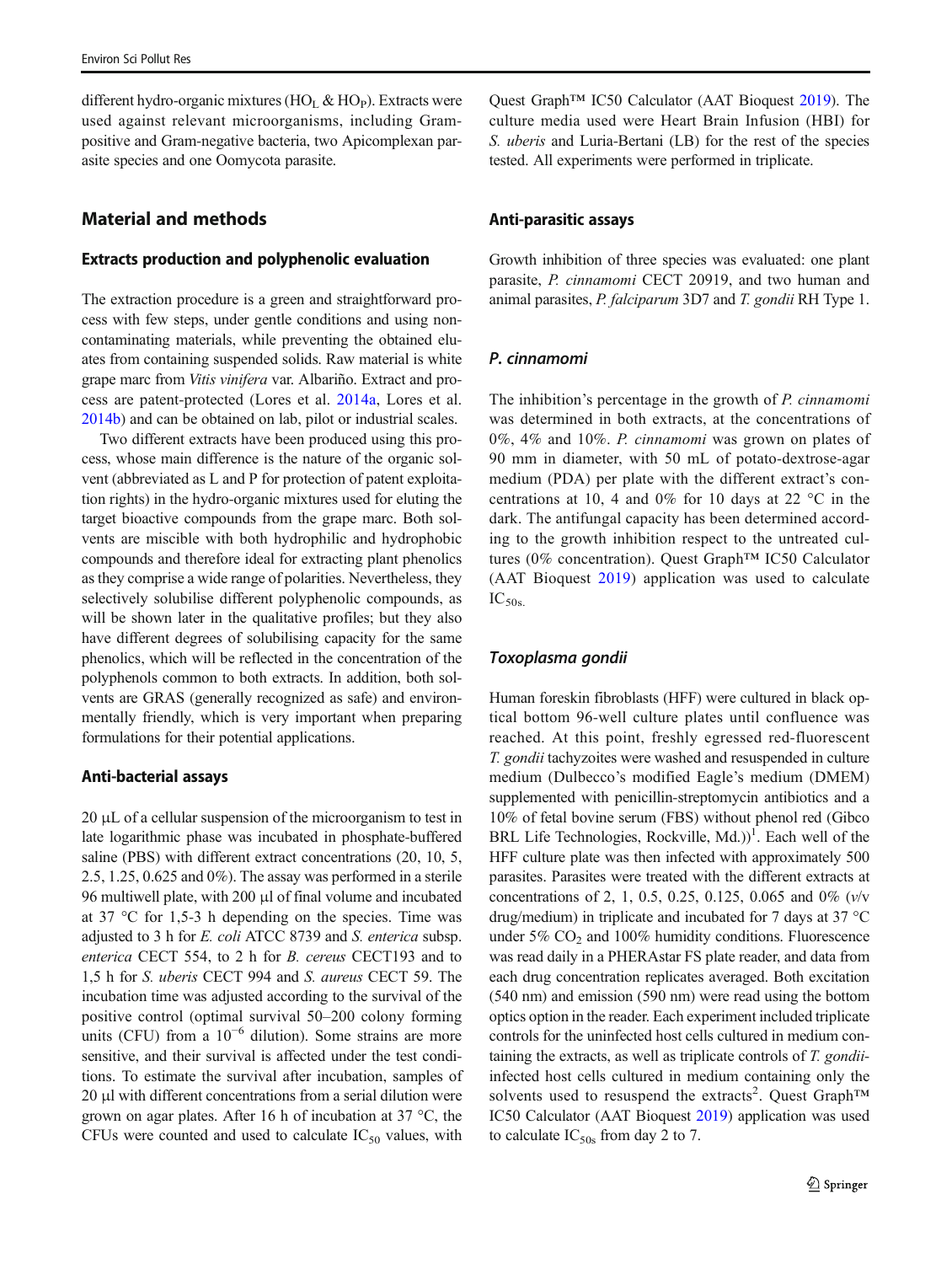different hydro-organic mixtures (HO<sub>L</sub> & HO<sub>P</sub>). Extracts were used against relevant microorganisms, including Grampositive and Gram-negative bacteria, two Apicomplexan parasite species and one Oomycota parasite.

# Material and methods

### Extracts production and polyphenolic evaluation

The extraction procedure is a green and straightforward process with few steps, under gentle conditions and using noncontaminating materials, while preventing the obtained eluates from containing suspended solids. Raw material is white grape marc from Vitis vinifera var. Albariño. Extract and process are patent-protected (Lores et al. [2014a](#page-7-0), Lores et al. [2014b](#page-7-0)) and can be obtained on lab, pilot or industrial scales.

Two different extracts have been produced using this process, whose main difference is the nature of the organic solvent (abbreviated as L and P for protection of patent exploitation rights) in the hydro-organic mixtures used for eluting the target bioactive compounds from the grape marc. Both solvents are miscible with both hydrophilic and hydrophobic compounds and therefore ideal for extracting plant phenolics as they comprise a wide range of polarities. Nevertheless, they selectively solubilise different polyphenolic compounds, as will be shown later in the qualitative profiles; but they also have different degrees of solubilising capacity for the same phenolics, which will be reflected in the concentration of the polyphenols common to both extracts. In addition, both solvents are GRAS (generally recognized as safe) and environmentally friendly, which is very important when preparing formulations for their potential applications.

### Anti-bacterial assays

20 μL of a cellular suspension of the microorganism to test in late logarithmic phase was incubated in phosphate-buffered saline (PBS) with different extract concentrations (20, 10, 5, 2.5, 1.25, 0.625 and 0%). The assay was performed in a sterile 96 multiwell plate, with 200 μl of final volume and incubated at 37 °C for 1,5-3 h depending on the species. Time was adjusted to 3 h for E. coli ATCC 8739 and S. enterica subsp. enterica CECT 554, to 2 h for B. cereus CECT193 and to 1,5 h for S. uberis CECT 994 and S. aureus CECT 59. The incubation time was adjusted according to the survival of the positive control (optimal survival 50–200 colony forming units (CFU) from a  $10^{-6}$  dilution). Some strains are more sensitive, and their survival is affected under the test conditions. To estimate the survival after incubation, samples of 20 μl with different concentrations from a serial dilution were grown on agar plates. After 16 h of incubation at 37 °C, the CFUs were counted and used to calculate  $IC_{50}$  values, with

Quest Graph™ IC50 Calculator (AAT Bioquest [2019\)](#page-6-0). The culture media used were Heart Brain Infusion (HBI) for S. uberis and Luria-Bertani (LB) for the rest of the species tested. All experiments were performed in triplicate.

### Anti-parasitic assays

Growth inhibition of three species was evaluated: one plant parasite, P. cinnamomi CECT 20919, and two human and animal parasites, P. falciparum 3D7 and T. gondii RH Type 1.

### P. cinnamomi

The inhibition's percentage in the growth of P. cinnamomi was determined in both extracts, at the concentrations of 0%, 4% and 10%. P. cinnamomi was grown on plates of 90 mm in diameter, with 50 mL of potato-dextrose-agar medium (PDA) per plate with the different extract's concentrations at 10, 4 and 0% for 10 days at 22 °C in the dark. The antifungal capacity has been determined according to the growth inhibition respect to the untreated cultures (0% concentration). Quest Graph™ IC50 Calculator (AAT Bioquest [2019\)](#page-6-0) application was used to calculate  $IC_{50s}$ 

#### Toxoplasma gondii

Human foreskin fibroblasts (HFF) were cultured in black optical bottom 96-well culture plates until confluence was reached. At this point, freshly egressed red-fluorescent T. gondii tachyzoites were washed and resuspended in culture medium (Dulbecco's modified Eagle's medium (DMEM) supplemented with penicillin-streptomycin antibiotics and a 10% of fetal bovine serum (FBS) without phenol red (Gibco BRL Life Technologies, Rockville, Md.) $)^{1}$ . Each well of the HFF culture plate was then infected with approximately 500 parasites. Parasites were treated with the different extracts at concentrations of 2, 1, 0.5, 0.25, 0.125, 0.065 and 0% (v/v drug/medium) in triplicate and incubated for 7 days at 37 °C under  $5\%$  CO<sub>2</sub> and  $100\%$  humidity conditions. Fluorescence was read daily in a PHERAstar FS plate reader, and data from each drug concentration replicates averaged. Both excitation (540 nm) and emission (590 nm) were read using the bottom optics option in the reader. Each experiment included triplicate controls for the uninfected host cells cultured in medium containing the extracts, as well as triplicate controls of T. gondiiinfected host cells cultured in medium containing only the solvents used to resuspend the extracts<sup>2</sup>. Quest Graph™ IC50 Calculator (AAT Bioquest [2019](#page-6-0)) application was used to calculate  $IC<sub>50s</sub>$  from day 2 to 7.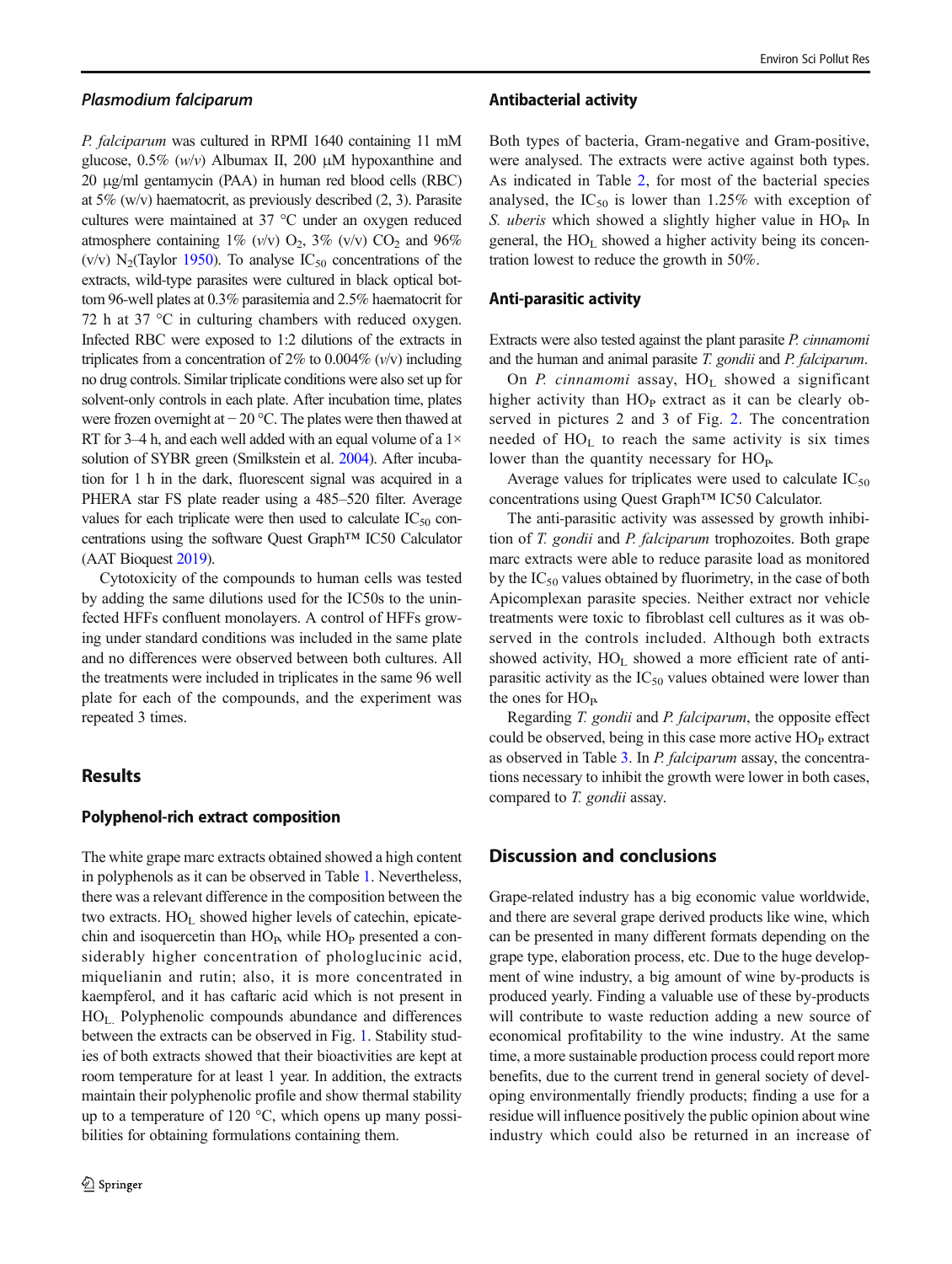### Plasmodium falciparum

P. falciparum was cultured in RPMI 1640 containing 11 mM glucose,  $0.5\%$  (w/v) Albumax II, 200  $\mu$ M hypoxanthine and 20 μg/ml gentamycin (PAA) in human red blood cells (RBC) at 5% (w/v) haematocrit, as previously described (2, 3). Parasite cultures were maintained at 37 °C under an oxygen reduced atmosphere containing 1% (v/v)  $O_2$ , 3% (v/v)  $CO_2$  and 96% (v/v)  $N_2$ (Taylor [1950](#page-8-0)). To analyse IC<sub>50</sub> concentrations of the extracts, wild-type parasites were cultured in black optical bottom 96-well plates at 0.3% parasitemia and 2.5% haematocrit for 72 h at 37 °C in culturing chambers with reduced oxygen. Infected RBC were exposed to 1:2 dilutions of the extracts in triplicates from a concentration of 2% to 0.004%  $(v/v)$  including no drug controls. Similar triplicate conditions were also set up for solvent-only controls in each plate. After incubation time, plates were frozen overnight at − 20 °C. The plates were then thawed at RT for 3–4 h, and each well added with an equal volume of a  $1\times$ solution of SYBR green (Smilkstein et al. [2004\)](#page-8-0). After incubation for 1 h in the dark, fluorescent signal was acquired in a PHERA star FS plate reader using a 485–520 filter. Average values for each triplicate were then used to calculate  $IC_{50}$  concentrations using the software Quest Graph™ IC50 Calculator (AAT Bioquest [2019](#page-6-0)).

Cytotoxicity of the compounds to human cells was tested by adding the same dilutions used for the IC50s to the uninfected HFFs confluent monolayers. A control of HFFs growing under standard conditions was included in the same plate and no differences were observed between both cultures. All the treatments were included in triplicates in the same 96 well plate for each of the compounds, and the experiment was repeated 3 times.

# **Results**

#### Polyphenol-rich extract composition

The white grape marc extracts obtained showed a high content in polyphenols as it can be observed in Table [1](#page-4-0). Nevertheless, there was a relevant difference in the composition between the two extracts.  $HO<sub>L</sub>$  showed higher levels of catechin, epicatechin and isoquercetin than  $HO<sub>P</sub>$ , while  $HO<sub>P</sub>$  presented a considerably higher concentration of phologlucinic acid, miquelianin and rutin; also, it is more concentrated in kaempferol, and it has caftaric acid which is not present in  $HO<sub>L</sub>$ . Polyphenolic compounds abundance and differences between the extracts can be observed in Fig. [1.](#page-4-0) Stability studies of both extracts showed that their bioactivities are kept at room temperature for at least 1 year. In addition, the extracts maintain their polyphenolic profile and show thermal stability up to a temperature of 120  $\degree$ C, which opens up many possibilities for obtaining formulations containing them.

### Antibacterial activity

Both types of bacteria, Gram-negative and Gram-positive, were analysed. The extracts were active against both types. As indicated in Table [2](#page-5-0), for most of the bacterial species analysed, the  $IC_{50}$  is lower than 1.25% with exception of S. uberis which showed a slightly higher value in  $HO<sub>p</sub>$ . In general, the  $HO<sub>L</sub>$  showed a higher activity being its concentration lowest to reduce the growth in 50%.

### Anti-parasitic activity

Extracts were also tested against the plant parasite P. cinnamomi and the human and animal parasite T. gondii and P. falciparum.

On P. cinnamomi assay,  $HO_L$  showed a significant higher activity than  $HO<sub>P</sub>$  extract as it can be clearly observed in pictures 2 and 3 of Fig. [2](#page-5-0). The concentration needed of  $HO<sub>L</sub>$  to reach the same activity is six times lower than the quantity necessary for HO<sub>P</sub>.

Average values for triplicates were used to calculate  $IC_{50}$ concentrations using Quest Graph™ IC50 Calculator.

The anti-parasitic activity was assessed by growth inhibition of T. gondii and P. falciparum trophozoites. Both grape marc extracts were able to reduce parasite load as monitored by the  $IC_{50}$  values obtained by fluorimetry, in the case of both Apicomplexan parasite species. Neither extract nor vehicle treatments were toxic to fibroblast cell cultures as it was observed in the controls included. Although both extracts showed activity, HO<sub>L</sub> showed a more efficient rate of antiparasitic activity as the  $IC_{50}$  values obtained were lower than the ones for  $HO_{\rm P}$ .

Regarding T. gondii and P. falciparum, the opposite effect could be observed, being in this case more active  $HO<sub>P</sub>$  extract as observed in Table [3](#page-6-0). In P. falciparum assay, the concentrations necessary to inhibit the growth were lower in both cases, compared to *T. gondii* assay.

# Discussion and conclusions

Grape-related industry has a big economic value worldwide, and there are several grape derived products like wine, which can be presented in many different formats depending on the grape type, elaboration process, etc. Due to the huge development of wine industry, a big amount of wine by-products is produced yearly. Finding a valuable use of these by-products will contribute to waste reduction adding a new source of economical profitability to the wine industry. At the same time, a more sustainable production process could report more benefits, due to the current trend in general society of developing environmentally friendly products; finding a use for a residue will influence positively the public opinion about wine industry which could also be returned in an increase of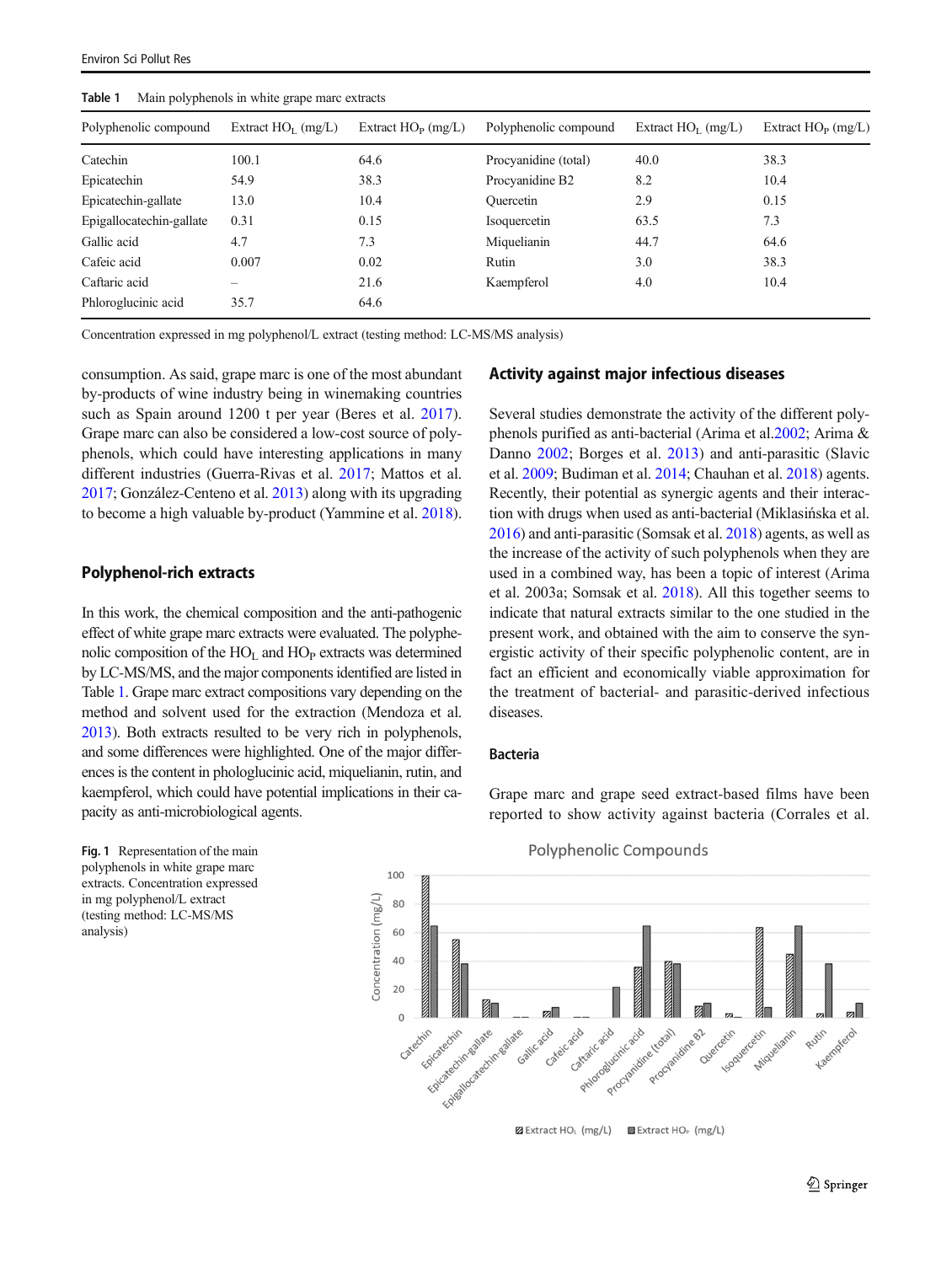| man perpendito in white graps man extractor |                      |                         |                       |                      |                         |  |
|---------------------------------------------|----------------------|-------------------------|-----------------------|----------------------|-------------------------|--|
| Polyphenolic compound                       | Extract $HOI$ (mg/L) | Extract $HO_{P}$ (mg/L) | Polyphenolic compound | Extract $HOI$ (mg/L) | Extract $HO_{P}$ (mg/L) |  |
| Catechin                                    | 100.1                | 64.6                    | Procyanidine (total)  | 40.0                 | 38.3                    |  |
| Epicatechin                                 | 54.9                 | 38.3                    | Procyanidine B2       | 8.2                  | 10.4                    |  |
| Epicatechin-gallate                         | 13.0                 | 10.4                    | <b>Ouercetin</b>      | 2.9                  | 0.15                    |  |
| Epigallocatechin-gallate                    | 0.31                 | 0.15                    | Isoquercetin          | 63.5                 | 7.3                     |  |
| Gallic acid                                 | 4.7                  | 7.3                     | Miquelianin           | 44.7                 | 64.6                    |  |
| Cafeic acid                                 | 0.007                | 0.02                    | Rutin                 | 3.0                  | 38.3                    |  |
| Caftaric acid                               |                      | 21.6                    | Kaempferol            | 4.0                  | 10.4                    |  |
| Phloroglucinic acid                         | 35.7                 | 64.6                    |                       |                      |                         |  |
|                                             |                      |                         |                       |                      |                         |  |

<span id="page-4-0"></span>Table 1 Main polyphenols in white grape marc extracts

Concentration expressed in mg polyphenol/L extract (testing method: LC-MS/MS analysis)

consumption. As said, grape marc is one of the most abundant by-products of wine industry being in winemaking countries such as Spain around 1200 t per year (Beres et al. [2017](#page-6-0)). Grape marc can also be considered a low-cost source of polyphenols, which could have interesting applications in many different industries (Guerra-Rivas et al. [2017;](#page-7-0) Mattos et al. [2017;](#page-7-0) González-Centeno et al. [2013\)](#page-7-0) along with its upgrading to become a high valuable by-product (Yammine et al. [2018\)](#page-8-0).

## Polyphenol-rich extracts

In this work, the chemical composition and the anti-pathogenic effect of white grape marc extracts were evaluated. The polyphenolic composition of the  $HO<sub>L</sub>$  and  $HO<sub>P</sub>$  extracts was determined by LC-MS/MS, and the major components identified are listed in Table 1. Grape marc extract compositions vary depending on the method and solvent used for the extraction (Mendoza et al. [2013](#page-7-0)). Both extracts resulted to be very rich in polyphenols, and some differences were highlighted. One of the major differences is the content in phologlucinic acid, miquelianin, rutin, and kaempferol, which could have potential implications in their capacity as anti-microbiological agents.

Fig. 1 Representation of the main polyphenols in white grape marc extracts. Concentration expressed in mg polyphenol/L extract (testing method: LC-MS/MS analysis)

### Activity against major infectious diseases

Several studies demonstrate the activity of the different polyphenols purified as anti-bacterial (Arima et al.[2002](#page-6-0); Arima & Danno [2002;](#page-6-0) Borges et al. [2013](#page-6-0)) and anti-parasitic (Slavic et al. [2009](#page-8-0); Budiman et al. [2014;](#page-7-0) Chauhan et al. [2018\)](#page-7-0) agents. Recently, their potential as synergic agents and their interaction with drugs when used as anti-bacterial (Miklasińska et al. [2016\)](#page-7-0) and anti-parasitic (Somsak et al. [2018\)](#page-8-0) agents, as well as the increase of the activity of such polyphenols when they are used in a combined way, has been a topic of interest (Arima et al. 2003a; Somsak et al. [2018](#page-8-0)). All this together seems to indicate that natural extracts similar to the one studied in the present work, and obtained with the aim to conserve the synergistic activity of their specific polyphenolic content, are in fact an efficient and economically viable approximation for the treatment of bacterial- and parasitic-derived infectious diseases.

### Bacteria

Grape marc and grape seed extract-based films have been reported to show activity against bacteria (Corrales et al.



Polyphenolic Compounds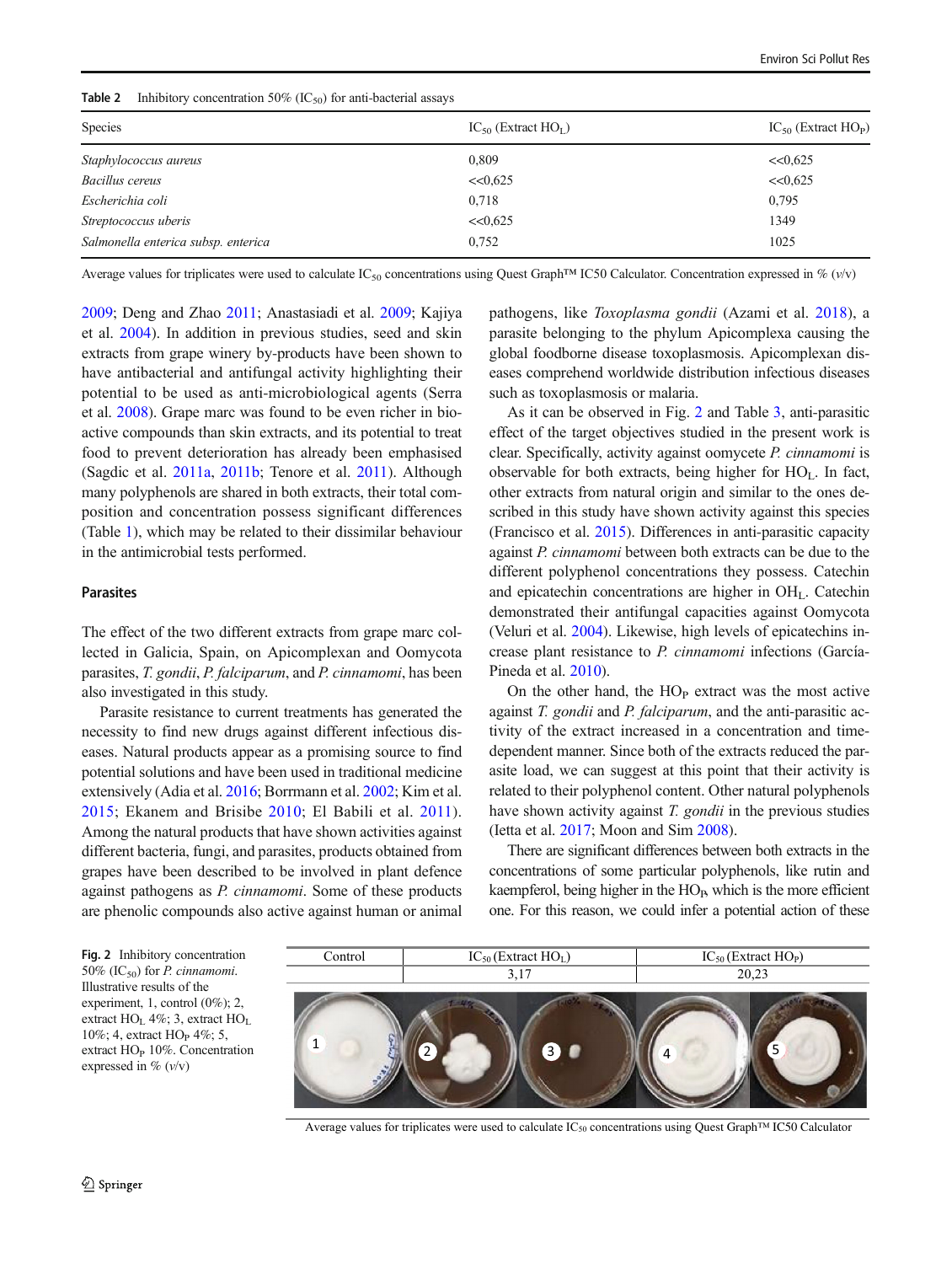| Species                             | $IC_{50}$ (Extract $HO_I$ ) | $IC_{50}$ (Extract $HO_{P}$ ) |
|-------------------------------------|-----------------------------|-------------------------------|
| Staphylococcus aureus               | 0.809                       | <<0.625                       |
| <b>Bacillus cereus</b>              | <<0.625                     | <<0.625                       |
| Escherichia coli                    | 0,718                       | 0,795                         |
| Streptococcus uberis                | <<0.625                     | 1349                          |
| Salmonella enterica subsp. enterica | 0,752                       | 1025                          |
|                                     |                             |                               |

<span id="page-5-0"></span>**Table 2** Inhibitory concentration 50% ( $IC_{50}$ ) for anti-bacterial assays

Average values for triplicates were used to calculate IC<sub>50</sub> concentrations using Quest Graph™ IC50 Calculator. Concentration expressed in % (v/v)

[2009;](#page-7-0) Deng and Zhao [2011;](#page-7-0) Anastasiadi et al. [2009](#page-6-0); Kajiya et al. [2004\)](#page-7-0). In addition in previous studies, seed and skin extracts from grape winery by-products have been shown to have antibacterial and antifungal activity highlighting their potential to be used as anti-microbiological agents (Serra et al. [2008\)](#page-8-0). Grape marc was found to be even richer in bioactive compounds than skin extracts, and its potential to treat food to prevent deterioration has already been emphasised (Sagdic et al. [2011a,](#page-8-0) [2011b](#page-8-0); Tenore et al. [2011\)](#page-8-0). Although many polyphenols are shared in both extracts, their total composition and concentration possess significant differences (Table [1](#page-4-0)), which may be related to their dissimilar behaviour in the antimicrobial tests performed.

#### Parasites

The effect of the two different extracts from grape marc collected in Galicia, Spain, on Apicomplexan and Oomycota parasites, T. gondii, P. falciparum, and P. cinnamomi, has been also investigated in this study.

Parasite resistance to current treatments has generated the necessity to find new drugs against different infectious diseases. Natural products appear as a promising source to find potential solutions and have been used in traditional medicine extensively (Adia et al. [2016;](#page-6-0) Borrmann et al. [2002;](#page-6-0) Kim et al. [2015;](#page-7-0) Ekanem and Brisibe [2010;](#page-7-0) El Babili et al. [2011](#page-6-0)). Among the natural products that have shown activities against different bacteria, fungi, and parasites, products obtained from grapes have been described to be involved in plant defence against pathogens as P. cinnamomi. Some of these products are phenolic compounds also active against human or animal pathogens, like Toxoplasma gondii (Azami et al. [2018](#page-6-0)), a parasite belonging to the phylum Apicomplexa causing the global foodborne disease toxoplasmosis. Apicomplexan diseases comprehend worldwide distribution infectious diseases such as toxoplasmosis or malaria.

As it can be observed in Fig. 2 and Table [3,](#page-6-0) anti-parasitic effect of the target objectives studied in the present work is clear. Specifically, activity against oomycete P. cinnamomi is observable for both extracts, being higher for  $HO<sub>L</sub>$ . In fact, other extracts from natural origin and similar to the ones described in this study have shown activity against this species (Francisco et al. [2015\)](#page-7-0). Differences in anti-parasitic capacity against P. cinnamomi between both extracts can be due to the different polyphenol concentrations they possess. Catechin and epicatechin concentrations are higher in  $OH<sub>L</sub>$ . Catechin demonstrated their antifungal capacities against Oomycota (Veluri et al. [2004](#page-8-0)). Likewise, high levels of epicatechins increase plant resistance to P. cinnamomi infections (García-Pineda et al. [2010](#page-7-0)).

On the other hand, the  $HO<sub>P</sub>$  extract was the most active against T. gondii and P. falciparum, and the anti-parasitic activity of the extract increased in a concentration and timedependent manner. Since both of the extracts reduced the parasite load, we can suggest at this point that their activity is related to their polyphenol content. Other natural polyphenols have shown activity against T. gondii in the previous studies (Ietta et al. [2017;](#page-7-0) Moon and Sim [2008\)](#page-7-0).

There are significant differences between both extracts in the concentrations of some particular polyphenols, like rutin and kaempferol, being higher in the  $HO<sub>P</sub>$ , which is the more efficient one. For this reason, we could infer a potential action of these

Fig. 2 Inhibitory concentration 50% (IC<sub>50</sub>) for *P. cinnamomi*. Illustrative results of the experiment, 1, control (0%); 2, extract HO<sub>L</sub> 4%; 3, extract HO<sub>L</sub> 10%; 4, extract HO<sub>P</sub> 4%; 5, extract  $HO<sub>P</sub>$  10%. Concentration expressed in  $\%$  ( $v/v$ )



Average values for triplicates were used to calculate IC50 concentrations using Quest Graph™ IC50 Calculator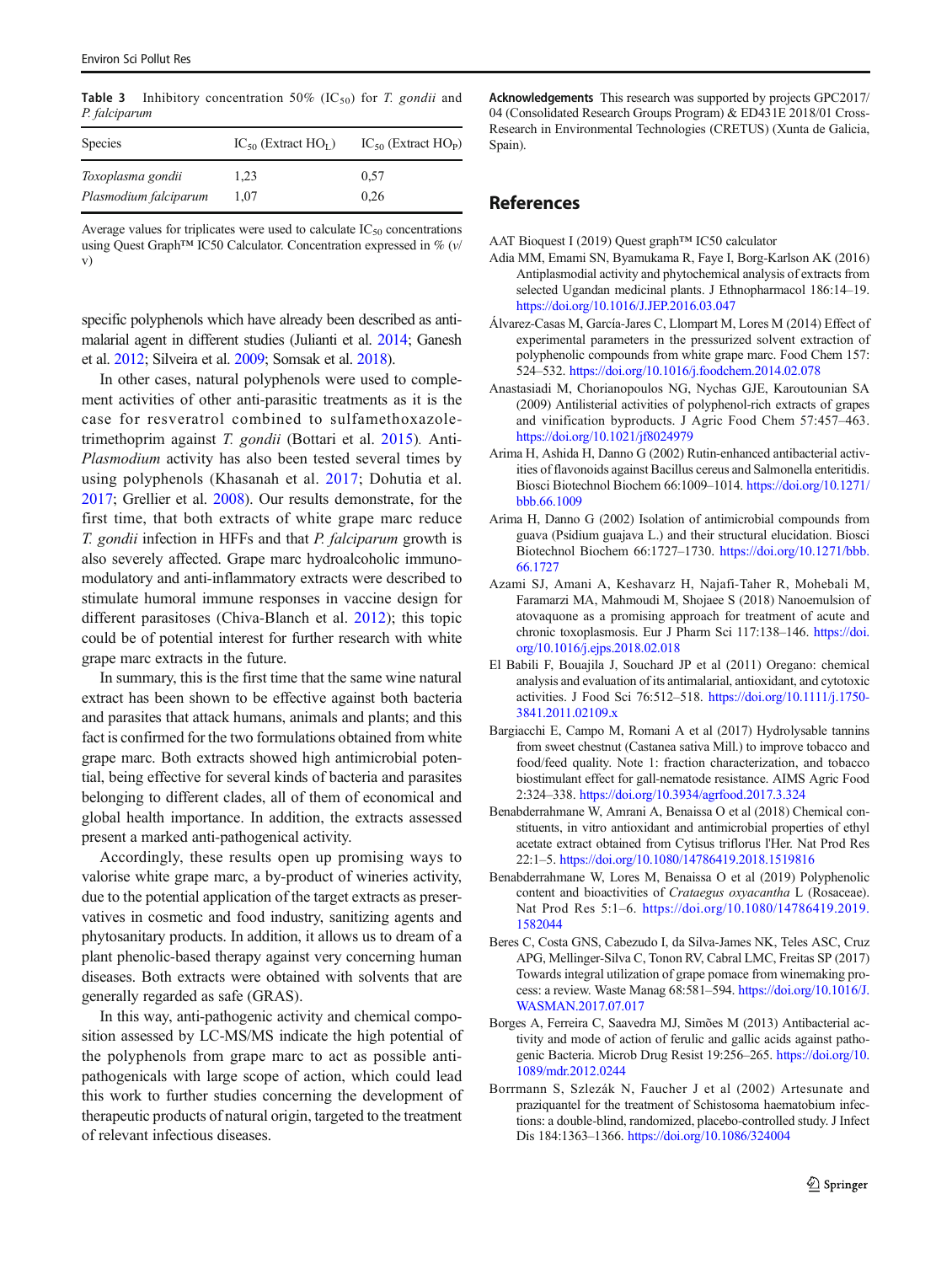<span id="page-6-0"></span>**Table 3** Inhibitory concentration 50% (IC<sub>50</sub>) for *T. gondii* and P. falciparum

| <b>Species</b>        | $IC_{50}$ (Extract $HO_{L}$ ) | $IC_{50}$ (Extract $HO_{P}$ ) |
|-----------------------|-------------------------------|-------------------------------|
| Toxoplasma gondii     | 1.23                          | 0.57                          |
| Plasmodium falciparum | 1.07                          | 0.26                          |

Average values for triplicates were used to calculate  $IC_{50}$  concentrations using Quest Graph™ IC50 Calculator. Concentration expressed in % (v/ v)

specific polyphenols which have already been described as antimalarial agent in different studies (Julianti et al. [2014](#page-7-0); Ganesh et al. [2012](#page-7-0); Silveira et al. [2009;](#page-8-0) Somsak et al. [2018](#page-8-0)).

In other cases, natural polyphenols were used to complement activities of other anti-parasitic treatments as it is the case for resveratrol combined to sulfamethoxazoletrimethoprim against T. gondii (Bottari et al. [2015\)](#page-7-0). Anti-Plasmodium activity has also been tested several times by using polyphenols (Khasanah et al. [2017](#page-7-0); Dohutia et al. [2017;](#page-7-0) Grellier et al. [2008\)](#page-7-0). Our results demonstrate, for the first time, that both extracts of white grape marc reduce T. gondii infection in HFFs and that P. falciparum growth is also severely affected. Grape marc hydroalcoholic immunomodulatory and anti-inflammatory extracts were described to stimulate humoral immune responses in vaccine design for different parasitoses (Chiva-Blanch et al. [2012\)](#page-7-0); this topic could be of potential interest for further research with white grape marc extracts in the future.

In summary, this is the first time that the same wine natural extract has been shown to be effective against both bacteria and parasites that attack humans, animals and plants; and this fact is confirmed for the two formulations obtained from white grape marc. Both extracts showed high antimicrobial potential, being effective for several kinds of bacteria and parasites belonging to different clades, all of them of economical and global health importance. In addition, the extracts assessed present a marked anti-pathogenical activity.

Accordingly, these results open up promising ways to valorise white grape marc, a by-product of wineries activity, due to the potential application of the target extracts as preservatives in cosmetic and food industry, sanitizing agents and phytosanitary products. In addition, it allows us to dream of a plant phenolic-based therapy against very concerning human diseases. Both extracts were obtained with solvents that are generally regarded as safe (GRAS).

In this way, anti-pathogenic activity and chemical composition assessed by LC-MS/MS indicate the high potential of the polyphenols from grape marc to act as possible antipathogenicals with large scope of action, which could lead this work to further studies concerning the development of therapeutic products of natural origin, targeted to the treatment of relevant infectious diseases.

Acknowledgements This research was supported by projects GPC2017/ 04 (Consolidated Research Groups Program) & ED431E 2018/01 Cross-Research in Environmental Technologies (CRETUS) (Xunta de Galicia, Spain).

### References

AAT Bioquest I (2019) Quest graph™ IC50 calculator

- Adia MM, Emami SN, Byamukama R, Faye I, Borg-Karlson AK (2016) Antiplasmodial activity and phytochemical analysis of extracts from selected Ugandan medicinal plants. J Ethnopharmacol 186:14–19. <https://doi.org/10.1016/J.JEP.2016.03.047>
- Álvarez-Casas M, García-Jares C, Llompart M, Lores M (2014) Effect of experimental parameters in the pressurized solvent extraction of polyphenolic compounds from white grape marc. Food Chem 157: 524–532. <https://doi.org/10.1016/j.foodchem.2014.02.078>
- Anastasiadi M, Chorianopoulos NG, Nychas GJE, Karoutounian SA (2009) Antilisterial activities of polyphenol-rich extracts of grapes and vinification byproducts. J Agric Food Chem 57:457–463. <https://doi.org/10.1021/jf8024979>
- Arima H, Ashida H, Danno G (2002) Rutin-enhanced antibacterial activities of flavonoids against Bacillus cereus and Salmonella enteritidis. Biosci Biotechnol Biochem 66:1009–1014. [https://doi.org/10.1271/](https://doi.org/10.1271/bbb.66.1009) [bbb.66.1009](https://doi.org/10.1271/bbb.66.1009)
- Arima H, Danno G (2002) Isolation of antimicrobial compounds from guava (Psidium guajava L.) and their structural elucidation. Biosci Biotechnol Biochem 66:1727–1730. [https://doi.org/10.1271/bbb.](https://doi.org/10.1271/bbb.66.1727) [66.1727](https://doi.org/10.1271/bbb.66.1727)
- Azami SJ, Amani A, Keshavarz H, Najafi-Taher R, Mohebali M, Faramarzi MA, Mahmoudi M, Shojaee S (2018) Nanoemulsion of atovaquone as a promising approach for treatment of acute and chronic toxoplasmosis. Eur J Pharm Sci 117:138–146. [https://doi.](https://doi.org/10.1016/j.ejps.2018.02.018) [org/10.1016/j.ejps.2018.02.018](https://doi.org/10.1016/j.ejps.2018.02.018)
- El Babili F, Bouajila J, Souchard JP et al (2011) Oregano: chemical analysis and evaluation of its antimalarial, antioxidant, and cytotoxic activities. J Food Sci 76:512–518. [https://doi.org/10.1111/j.1750-](https://doi.org/10.1111/j.1750-3841.2011.02109.x) [3841.2011.02109.x](https://doi.org/10.1111/j.1750-3841.2011.02109.x)
- Bargiacchi E, Campo M, Romani A et al (2017) Hydrolysable tannins from sweet chestnut (Castanea sativa Mill.) to improve tobacco and food/feed quality. Note 1: fraction characterization, and tobacco biostimulant effect for gall-nematode resistance. AIMS Agric Food 2:324–338. <https://doi.org/10.3934/agrfood.2017.3.324>
- Benabderrahmane W, Amrani A, Benaissa O et al (2018) Chemical constituents, in vitro antioxidant and antimicrobial properties of ethyl acetate extract obtained from Cytisus triflorus l'Her. Nat Prod Res 22:1–5. <https://doi.org/10.1080/14786419.2018.1519816>
- Benabderrahmane W, Lores M, Benaissa O et al (2019) Polyphenolic content and bioactivities of Crataegus oxyacantha L (Rosaceae). Nat Prod Res 5:1–6. [https://doi.org/10.1080/14786419.2019.](https://doi.org/10.1080/14786419.2019.1582044) [1582044](https://doi.org/10.1080/14786419.2019.1582044)
- Beres C, Costa GNS, Cabezudo I, da Silva-James NK, Teles ASC, Cruz APG, Mellinger-Silva C, Tonon RV, Cabral LMC, Freitas SP (2017) Towards integral utilization of grape pomace from winemaking process: a review. Waste Manag 68:581–594. [https://doi.org/10.1016/J.](https://doi.org/10.1016/J.WASMAN.2017.07.017) [WASMAN.2017.07.017](https://doi.org/10.1016/J.WASMAN.2017.07.017)
- Borges A, Ferreira C, Saavedra MJ, Simões M (2013) Antibacterial activity and mode of action of ferulic and gallic acids against pathogenic Bacteria. Microb Drug Resist 19:256–265. [https://doi.org/10.](https://doi.org/10.1089/mdr.2012.0244) [1089/mdr.2012.0244](https://doi.org/10.1089/mdr.2012.0244)
- Borrmann S, Szlezák N, Faucher J et al (2002) Artesunate and praziquantel for the treatment of Schistosoma haematobium infections: a double-blind, randomized, placebo-controlled study. J Infect Dis 184:1363–1366. <https://doi.org/10.1086/324004>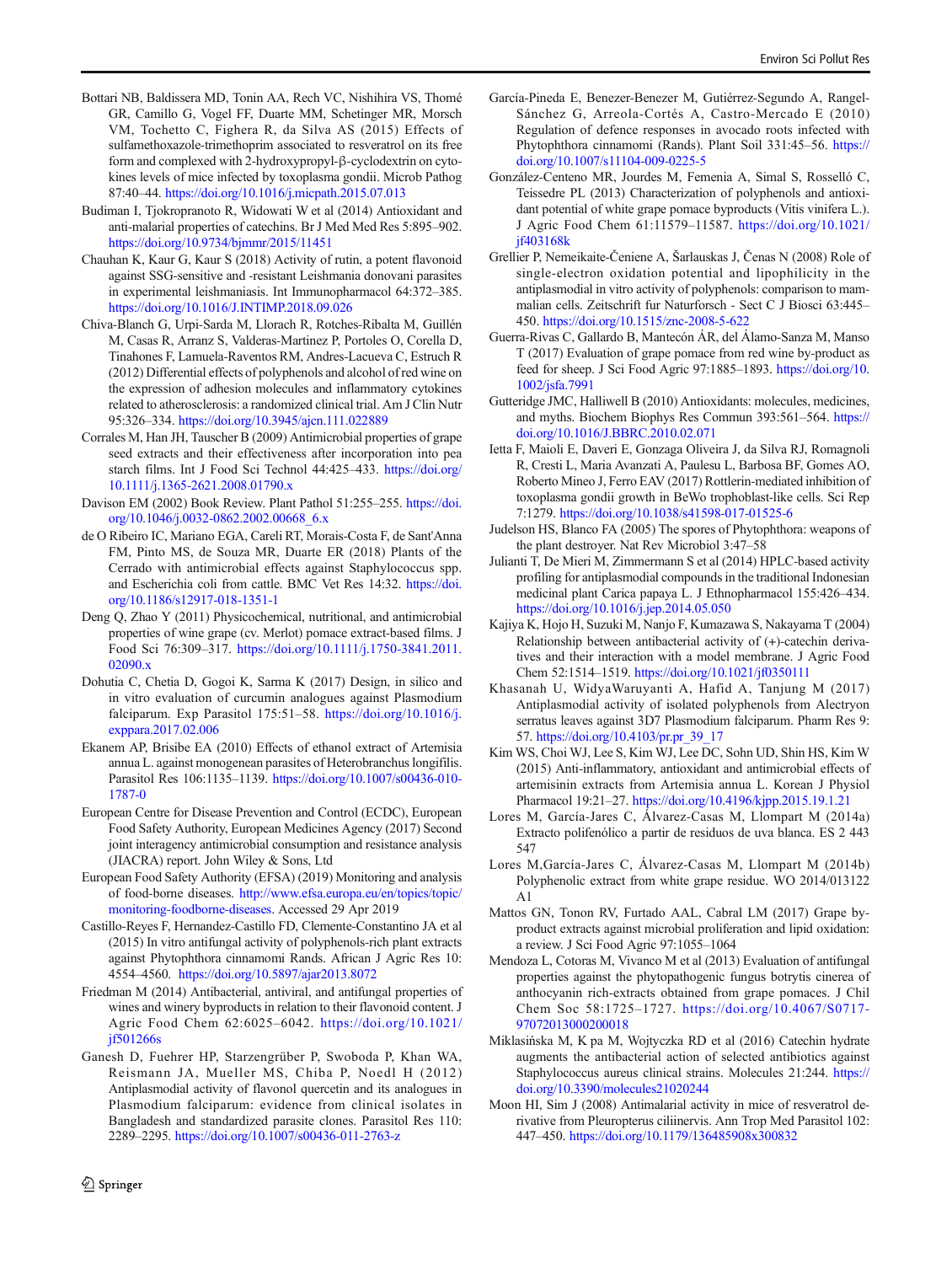- <span id="page-7-0"></span>Bottari NB, Baldissera MD, Tonin AA, Rech VC, Nishihira VS, Thomé GR, Camillo G, Vogel FF, Duarte MM, Schetinger MR, Morsch VM, Tochetto C, Fighera R, da Silva AS (2015) Effects of sulfamethoxazole-trimethoprim associated to resveratrol on its free form and complexed with 2-hydroxypropyl-β-cyclodextrin on cytokines levels of mice infected by toxoplasma gondii. Microb Pathog 87:40–44. <https://doi.org/10.1016/j.micpath.2015.07.013>
- Budiman I, Tjokropranoto R, Widowati W et al (2014) Antioxidant and anti-malarial properties of catechins. Br J Med Med Res 5:895–902. <https://doi.org/10.9734/bjmmr/2015/11451>
- Chauhan K, Kaur G, Kaur S (2018) Activity of rutin, a potent flavonoid against SSG-sensitive and -resistant Leishmania donovani parasites in experimental leishmaniasis. Int Immunopharmacol 64:372–385. <https://doi.org/10.1016/J.INTIMP.2018.09.026>
- Chiva-Blanch G, Urpi-Sarda M, Llorach R, Rotches-Ribalta M, Guillén M, Casas R, Arranz S, Valderas-Martinez P, Portoles O, Corella D, Tinahones F, Lamuela-Raventos RM, Andres-Lacueva C, Estruch R (2012) Differential effects of polyphenols and alcohol of red wine on the expression of adhesion molecules and inflammatory cytokines related to atherosclerosis: a randomized clinical trial. Am J Clin Nutr 95:326–334. <https://doi.org/10.3945/ajcn.111.022889>
- Corrales M, Han JH, Tauscher B (2009) Antimicrobial properties of grape seed extracts and their effectiveness after incorporation into pea starch films. Int J Food Sci Technol 44:425–433. [https://doi.org/](https://doi.org/10.1111/j.1365-2621.2008.01790.x) [10.1111/j.1365-2621.2008.01790.x](https://doi.org/10.1111/j.1365-2621.2008.01790.x)
- Davison EM (2002) Book Review. Plant Pathol 51:255–255. [https://doi.](https://doi.org/10.1046/j.0032-0862.2002.00668_6.x) [org/10.1046/j.0032-0862.2002.00668\\_6.x](https://doi.org/10.1046/j.0032-0862.2002.00668_6.x)
- de O Ribeiro IC, Mariano EGA, Careli RT, Morais-Costa F, de Sant'Anna FM, Pinto MS, de Souza MR, Duarte ER (2018) Plants of the Cerrado with antimicrobial effects against Staphylococcus spp. and Escherichia coli from cattle. BMC Vet Res 14:32. [https://doi.](https://doi.org/10.1186/s12917-018-1351-1) [org/10.1186/s12917-018-1351-1](https://doi.org/10.1186/s12917-018-1351-1)
- Deng Q, Zhao Y (2011) Physicochemical, nutritional, and antimicrobial properties of wine grape (cv. Merlot) pomace extract-based films. J Food Sci 76:309–317. [https://doi.org/10.1111/j.1750-3841.2011.](https://doi.org/10.1111/j.1750-3841.2011.02090.x) [02090.x](https://doi.org/10.1111/j.1750-3841.2011.02090.x)
- Dohutia C, Chetia D, Gogoi K, Sarma K (2017) Design, in silico and in vitro evaluation of curcumin analogues against Plasmodium falciparum. Exp Parasitol 175:51–58. [https://doi.org/10.1016/j.](https://doi.org/10.1016/j.exppara.2017.02.006) [exppara.2017.02.006](https://doi.org/10.1016/j.exppara.2017.02.006)
- Ekanem AP, Brisibe EA (2010) Effects of ethanol extract of Artemisia annua L. against monogenean parasites of Heterobranchus longifilis. Parasitol Res 106:1135–1139. [https://doi.org/10.1007/s00436-010-](https://doi.org/10.1007/s00436-010-1787-0) [1787-0](https://doi.org/10.1007/s00436-010-1787-0)
- European Centre for Disease Prevention and Control (ECDC), European Food Safety Authority, European Medicines Agency (2017) Second joint interagency antimicrobial consumption and resistance analysis (JIACRA) report. John Wiley & Sons, Ltd
- European Food Safety Authority (EFSA) (2019) Monitoring and analysis of food-borne diseases. [http://www.efsa.europa.eu/en/topics/topic/](http://www.efsa.europa.eu/en/topics/topic/monitoring-foodborne-diseases) [monitoring-foodborne-diseases.](http://www.efsa.europa.eu/en/topics/topic/monitoring-foodborne-diseases) Accessed 29 Apr 2019
- Castillo-Reyes F, Hernandez-Castillo FD, Clemente-Constantino JA et al (2015) In vitro antifungal activity of polyphenols-rich plant extracts against Phytophthora cinnamomi Rands. African J Agric Res 10: 4554–4560. <https://doi.org/10.5897/ajar2013.8072>
- Friedman M (2014) Antibacterial, antiviral, and antifungal properties of wines and winery byproducts in relation to their flavonoid content. J Agric Food Chem 62:6025–6042. [https://doi.org/10.1021/](https://doi.org/10.1021/jf501266s) [jf501266s](https://doi.org/10.1021/jf501266s)
- Ganesh D, Fuehrer HP, Starzengrüber P, Swoboda P, Khan WA, Reismann JA, Mueller MS, Chiba P, Noedl H (2012) Antiplasmodial activity of flavonol quercetin and its analogues in Plasmodium falciparum: evidence from clinical isolates in Bangladesh and standardized parasite clones. Parasitol Res 110: 2289–2295. <https://doi.org/10.1007/s00436-011-2763-z>
- García-Pineda E, Benezer-Benezer M, Gutiérrez-Segundo A, Rangel-Sánchez G, Arreola-Cortés A, Castro-Mercado E (2010) Regulation of defence responses in avocado roots infected with Phytophthora cinnamomi (Rands). Plant Soil 331:45–56. [https://](https://doi.org/10.1007/s11104-009-0225-5) [doi.org/10.1007/s11104-009-0225-5](https://doi.org/10.1007/s11104-009-0225-5)
- González-Centeno MR, Jourdes M, Femenia A, Simal S, Rosselló C, Teissedre PL (2013) Characterization of polyphenols and antioxidant potential of white grape pomace byproducts (Vitis vinifera L.). J Agric Food Chem 61:11579–11587. [https://doi.org/10.1021/](https://doi.org/10.1021/jf403168k) [jf403168k](https://doi.org/10.1021/jf403168k)
- Grellier P, Nemeikaite-Čeniene A, Šarlauskas J, Čenas N (2008) Role of single-electron oxidation potential and lipophilicity in the antiplasmodial in vitro activity of polyphenols: comparison to mammalian cells. Zeitschrift fur Naturforsch - Sect C J Biosci 63:445– 450. <https://doi.org/10.1515/znc-2008-5-622>
- Guerra-Rivas C, Gallardo B, Mantecón ÁR, del Álamo-Sanza M, Manso T (2017) Evaluation of grape pomace from red wine by-product as feed for sheep. J Sci Food Agric 97:1885–1893. [https://doi.org/10.](https://doi.org/10.1002/jsfa.7991) [1002/jsfa.7991](https://doi.org/10.1002/jsfa.7991)
- Gutteridge JMC, Halliwell B (2010) Antioxidants: molecules, medicines, and myths. Biochem Biophys Res Commun 393:561–564. [https://](https://doi.org/10.1016/J.BBRC.2010.02.071) [doi.org/10.1016/J.BBRC.2010.02.071](https://doi.org/10.1016/J.BBRC.2010.02.071)
- Ietta F, Maioli E, Daveri E, Gonzaga Oliveira J, da Silva RJ, Romagnoli R, Cresti L, Maria Avanzati A, Paulesu L, Barbosa BF, Gomes AO, Roberto Mineo J, Ferro EAV (2017) Rottlerin-mediated inhibition of toxoplasma gondii growth in BeWo trophoblast-like cells. Sci Rep 7:1279. <https://doi.org/10.1038/s41598-017-01525-6>
- Judelson HS, Blanco FA (2005) The spores of Phytophthora: weapons of the plant destroyer. Nat Rev Microbiol 3:47–58
- Julianti T, De Mieri M, Zimmermann S et al (2014) HPLC-based activity profiling for antiplasmodial compounds in the traditional Indonesian medicinal plant Carica papaya L. J Ethnopharmacol 155:426–434. <https://doi.org/10.1016/j.jep.2014.05.050>
- Kajiya K, Hojo H, Suzuki M, Nanjo F, Kumazawa S, Nakayama T (2004) Relationship between antibacterial activity of (+)-catechin derivatives and their interaction with a model membrane. J Agric Food Chem 52:1514–1519. <https://doi.org/10.1021/jf0350111>
- Khasanah U, WidyaWaruyanti A, Hafid A, Tanjung M (2017) Antiplasmodial activity of isolated polyphenols from Alectryon serratus leaves against 3D7 Plasmodium falciparum. Pharm Res 9: 57. [https://doi.org/10.4103/pr.pr\\_39\\_17](https://doi.org/10.4103/pr.pr_39_17)
- Kim WS, Choi WJ, Lee S, Kim WJ, Lee DC, Sohn UD, Shin HS, Kim W (2015) Anti-inflammatory, antioxidant and antimicrobial effects of artemisinin extracts from Artemisia annua L. Korean J Physiol Pharmacol 19:21–27. <https://doi.org/10.4196/kjpp.2015.19.1.21>
- Lores M, García-Jares C, Álvarez-Casas M, Llompart M (2014a) Extracto polifenólico a partir de residuos de uva blanca. ES 2 443 547
- Lores M,García-Jares C, Álvarez-Casas M, Llompart M (2014b) Polyphenolic extract from white grape residue. WO 2014/013122 A1
- Mattos GN, Tonon RV, Furtado AAL, Cabral LM (2017) Grape byproduct extracts against microbial proliferation and lipid oxidation: a review. J Sci Food Agric 97:1055–1064
- Mendoza L, Cotoras M, Vivanco M et al (2013) Evaluation of antifungal properties against the phytopathogenic fungus botrytis cinerea of anthocyanin rich-extracts obtained from grape pomaces. J Chil Chem Soc 58:1725–1727. [https://doi.org/10.4067/S0717-](https://doi.org/10.4067/S0717-97072013000200018) [97072013000200018](https://doi.org/10.4067/S0717-97072013000200018)
- Miklasińska M, K pa M, Wojtyczka RD et al (2016) Catechin hydrate augments the antibacterial action of selected antibiotics against Staphylococcus aureus clinical strains. Molecules 21:244. [https://](https://doi.org/10.3390/molecules21020244) [doi.org/10.3390/molecules21020244](https://doi.org/10.3390/molecules21020244)
- Moon HI, Sim J (2008) Antimalarial activity in mice of resveratrol derivative from Pleuropterus ciliinervis. Ann Trop Med Parasitol 102: 447–450. <https://doi.org/10.1179/136485908x300832>